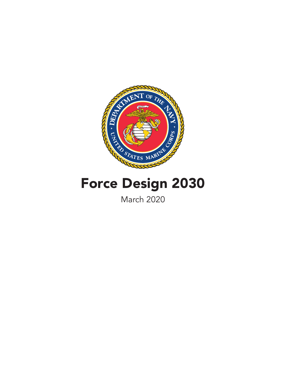

# Force Design 2030

March 2020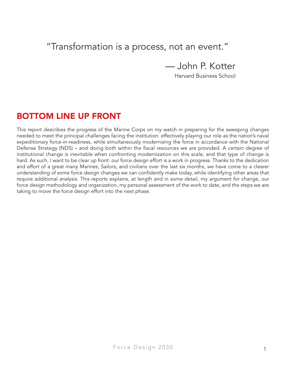# "Transformation is a process, not an event."

— John P. Kotter

Harvard Business School

# BOTTOM LINE UP FRONT

This report describes the progress of the Marine Corps on my watch in preparing for the sweeping changes needed to meet the principal challenges facing the institution: effectively playing our role as the nation's naval expeditionary force-in-readiness, while simultaneously modernizing the force in accordance with the National Defense Strategy (NDS) – and doing both within the fiscal resources we are provided. A certain degree of institutional change is inevitable when confronting modernization on this scale, and that type of change is hard. As such, I want to be clear up front: our force design effort is a work in progress. Thanks to the dedication and effort of a great many Marines, Sailors, and civilians over the last six months, we have come to a clearer understanding of some force design changes we can confidently make today, while identifying other areas that require additional analysis. This reports explains, at length and in some detail, my argument for change, our force design methodology and organization, my personal assessment of the work to date, and the steps we are taking to move the force design effort into the next phase.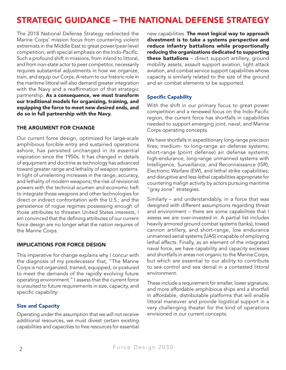# STRATEGIC GUIDANCE – THE NATIONAL DEFENSE STRATEGY

The 2018 National Defense Strategy redirected the Marine Corps' mission focus from countering violent extremists in the Middle East to great power/peer-level competition, with special emphasis on the Indo-Pacific. Such a profound shift in missions, from inland to littoral, and from non-state actor to peer competitor, necessarily requires substantial adjustments in how we organize, train, and equip our Corps. A return to our historic role in the maritime littoral will also demand greater integration with the Navy and a reaffirmation of that strategic partnership. As a consequence, we must transform our traditional models for organizing, training, and equipping the force to meet new desired ends, and do so in full partnership with the Navy.

# THE ARGUMENT FOR CHANGE

Our current force design, optimized for large-scale amphibious forcible entry and sustained operations ashore, has persisted unchanged in its essential inspiration since the 1950s. It has changed in details of equipment and doctrine as technology has advanced toward greater range and lethality of weapon systems. In light of unrelenting increases in the range, accuracy, and lethality of modern weapons; the rise of revisionist powers with the technical acumen and economic heft to integrate those weapons and other technologies for direct or indirect confrontation with the U.S.; and the persistence of rogue regimes possessing enough of those attributes to threaten United States interests, I am convinced that the defining attributes of our current force design are no longer what the nation requires of the Marine Corps.

### IMPLICATIONS FOR FORCE DESIGN

This imperative for change explains why I concur with the diagnosis of my predecessor that, "The Marine Corps is not organized, trained, equipped, or postured to meet the demands of the rapidly evolving future operating environment." I assess that the current force is unsuited to future requirements in size, capacity, and specific capability:

# Size and Capacity

Operating under the assumption that we will not receive additional resources, we must divest certain existing capabilities and capacities to free resources for essential new capabilities. The most logical way to approach divestment is to take a systems perspective and reduce infantry battalions while proportionally reducing the organizations dedicated to supporting **these battalions** – direct support artillery, ground mobility assets, assault support aviation, light attack aviation, and combat service support capabilities whose capacity is similarly related to the size of the ground and air combat elements to be supported.

### Specific Capability

With the shift in our primary focus to great power competition and a renewed focus on the Indo-Pacific region, the current force has shortfalls in capabilities needed to support emerging joint, naval, and Marine Corps operating concepts.

We have shortfalls in expeditionary long-range precision fires; medium- to long-range air defense systems; short-range (point defense) air defense systems; high-endurance, long-range unmanned systems with Intelligence, Surveillance, and Reconnaissance (ISR), Electronic Warfare (EW), and lethal strike capabilities; and disruptive and less-lethal capabilities appropriate for countering malign activity by actors pursuing maritime "gray zone" strategies.

Similarly – and understandably, in a force that was designed with different assumptions regarding threat and environment – there are some capabilities that I assess we are over-invested in. A partial list includes heavily armored ground combat systems (tanks), towed cannon artillery, and short-range, low endurance unmanned aerial systems (UAS) incapable of employing lethal effects. Finally, as an element of the integrated naval force, we have capability and capacity excesses and shortfalls in areas not organic to the Marine Corps, but which are essential to our ability to contribute to sea control and sea denial in a contested littoral environment.

These include a requirement for smaller, lower signature, and more affordable amphibious ships and a shortfall in affordable, distributable platforms that will enable littoral maneuver and provide logistical support in a very challenging theater for the kind of operations envisioned in our current concepts.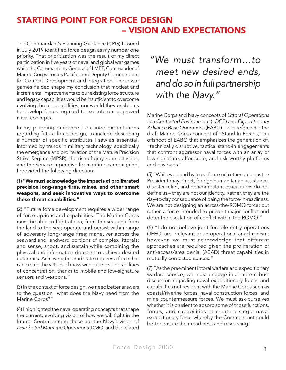# STARTING POINT FOR FORCE DESIGN – VISION AND EXPECTATIONS

The Commandant's Planning Guidance (CPG) I issued in July 2019 identified force design as my number one priority. That prioritization was the result of my direct participation in five years of naval and global war games while the Commanding General of I MEF, Commander of Marine Corps Forces Pacific, and Deputy Commandant for Combat Development and Integration. Those war games helped shape my conclusion that modest and incremental improvements to our existing force structure and legacy capabilities would be insufficient to overcome evolving threat capabilities, nor would they enable us to develop forces required to execute our approved naval concepts.

In my planning guidance I outlined expectations regarding future force design, to include describing a number of specific attributes I saw as essential. Informed by trends in military technology, specifically the emergence and proliferation of the Mature Precision Strike Regime (MPSR), the rise of gray zone activities, and the Service imperative for maritime campaigning, I provided the following direction:

#### (1) "We must acknowledge the impacts of proliferated precision long-range fires, mines, and other smart weapons, and seek innovative ways to overcome these threat capabilities."

(2) "Future force development requires a wider range of force options and capabilities. The Marine Corps must be able to fight at sea, from the sea, and from the land to the sea; operate and persist within range of adversary long-range fires; maneuver across the seaward and landward portions of complex littorals; and sense, shoot, and sustain while combining the physical and information domains to achieve desired outcomes. Achieving this end state requires a force that can create the virtues of mass without the vulnerabilities of concentration, thanks to mobile and low-signature sensors and weapons."

(3) In the context of force design, we need better answers to the question "what does the Navy need from the Marine Corps?"

(4) I highlighted the naval operating concepts that shape the current, evolving vision of how we will fight in the future. Central among these are the Navy's vision of *Distributed Maritime Operations* (DMO) and the related

# *"We must transform…to meet new desired ends, and do so in full partnership with the Navy."*

Marine Corps and Navy concepts of *Littoral Operations in a Contested Environment* (LOCE) and *Expeditionary Advance Base Operations* (EABO). I also referenced the draft Marine Corps concept of "Stand-In Forces," an offshoot of EABO that emphasizes the generation of, "technically disruptive, tactical stand-in engagements that confront aggressor naval forces with an array of low signature, affordable, and risk-worthy platforms and payloads."

(5) "While we stand by to perform such other duties as the President may direct, foreign humanitarian assistance, disaster relief, and noncombatant evacuations do not define us – they are not our identity. Rather, they are the day-to-day consequence of being the force-in-readiness. We are not designing an across-the-ROMO force; but rather, a force intended to prevent major conflict and deter the escalation of conflict within the ROMO."

(6) "I do not believe joint forcible entry operations (JFEO) are irrelevant or an operational anachronism; however, we must acknowledge that different approaches are required given the proliferation of anti-access/area denial (A2AD) threat capabilities in mutually contested spaces."

(7) "As the preeminent littoral warfare and expeditionary warfare service, we must engage in a more robust discussion regarding naval expeditionary forces and capabilities not resident with the Marine Corps such as coastal/riverine forces, naval construction forces, and mine countermeasure forces. We must ask ourselves whether it is prudent to absorb some of those functions, forces, and capabilities to create a single naval expeditionary force whereby the Commandant could better ensure their readiness and resourcing."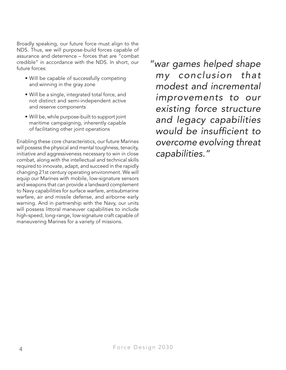Broadly speaking, our future force must align to the NDS. Thus, we will purpose-build forces capable of assurance and deterrence – forces that are "combat credible" in accordance with the NDS. In short, our future forces:

- Will be capable of successfully competing and winning in the gray zone
- Will be a single, integrated total force, and not distinct and semi-independent active and reserve components
- Will be, while purpose-built to support joint maritime campaigning, inherently capable of facilitating other joint operations

Enabling these core characteristics, our future Marines will possess the physical and mental toughness, tenacity, initiative and aggressiveness necessary to win in close combat, along with the intellectual and technical skills required to innovate, adapt, and succeed in the rapidly changing 21st century operating environment. We will equip our Marines with mobile, low-signature sensors and weapons that can provide a landward complement to Navy capabilities for surface warfare, antisubmarine warfare, air and missile defense, and airborne early warning. And in partnership with the Navy, our units will possess littoral maneuver capabilities to include high-speed, long-range, low-signature craft capable of maneuvering Marines for a variety of missions.

*"war games helped shape my conclusion that modest and incremental improvements to our existing force structure and legacy capabilities would be insufficient to overcome evolving threat capabilities."*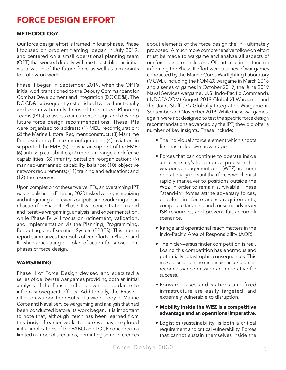# FORCE DESIGN EFFORT

# **METHODOLOGY**

Our force design effort is framed in four phases. Phase I focused on problem framing, began in July 2019, and centered on a small operational planning team (OPT) that worked directly with me to establish an initial visualization of the future force as well as aim points for follow-on work.

Phase II began in September 2019, when the OPT's initial work transitioned to the Deputy Commandant for Combat Development and Integration (DC CD&I). The DC CD&I subsequently established twelve functionally and organizationally-focused Integrated Planning Teams (IPTs) to assess our current design and develop future force design recommendations. These IPTs were organized to address: (1) MEU reconfiguration; (2) the Marine Littoral Regiment construct; (3) Maritime Prepositioning Force reconfiguration; (4) aviation in support of the FMF; (5) logistics in support of the FMF; (6) anti-ship capabilities; (7) medium-range air defense capabilities; (8) infantry battalion reorganization; (9) manned-unmanned capability balance; (10) objective network requirements; (11) training and education; and (12) the reserves.

Upon completion of these twelve IPTs, an overarching IPT was established in February 2020 tasked with synchronizing and integrating all previous outputs and producing a plan of action for Phase III. Phase III will concentrate on rapid and iterative wargaming, analysis, and experimentation, while Phase IV will focus on refinement, validation, and implementation via the Planning, Programming, Budgeting, and Execution System (PPBES). This interim report summarizes the results of our efforts in Phase I and II, while articulating our plan of action for subsequent phases of force design.

### WARGAMING

Phase II of Force Design devised and executed a series of deliberate war games providing both an initial analysis of the Phase I effort as well as guidance to inform subsequent efforts. Additionally, the Phase II effort drew upon the results of a wider body of Marine Corps and Naval Service wargaming and analysis that had been conducted before its work began. It is important to note that, although much has been learned from this body of earlier work, to date we have explored initial implications of the EABO and LOCE concepts in a limited number of scenarios, permitting some inferences

about elements of the force design the IPT ultimately proposed. A much more comprehensive follow-on effort must be made to wargame and analyze all aspects of our force design conclusions. Of particular importance in informing the Phase II effort were a series of war games conducted by the Marine Corps Warfighting Laboratory (MCWL), including the POM-20 wargame in March 2018 and a series of games in October 2019, the June 2019 Naval Services wargame, U.S. Indo-Pacific Command's (INDOPACOM) August 2019 Global XI Wargame, and the Joint Staff J7's Globally Integrated Wargame in September and November 2019. While these war games, again, were not designed to test the specific force design recommendations advanced by the IPT, they did offer a number of key insights. These include:

- The individual / force element which shoots first has a decisive advantage.
- Forces that can continue to operate inside an adversary's long-range precision fire weapons engagement zone (WEZ) are more operationally relevant than forces which must rapidly maneuver to positions outside the WEZ in order to remain survivable. These "stand-in" forces attrite adversary forces, enable joint force access requirements, complicate targeting and consume adversary ISR resources, and prevent fait accompli scenarios.
- Range and operational reach matters in the Indo-Pacific Area of Responsibility (AOR).
- The hider-versus finder competition is real. Losing this competition has enormous and potentially catastrophic consequences. This makes success in the reconnaissance/counterreconnaissance mission an imperative for success.
- Forward bases and stations and fixed infrastructure are easily targeted, and extremely vulnerable to disruption.
- Mobility inside the WEZ is a competitive advantage and an operational imperative.
- Logistics (sustainability) is both a critical requirement and critical vulnerability. Forces that cannot sustain themselves inside the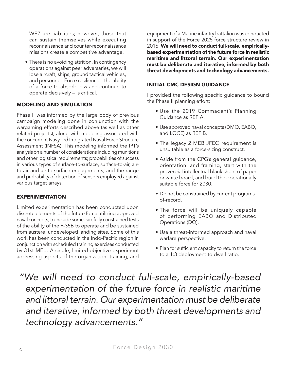WEZ are liabilities; however, those that can sustain themselves while executing reconnaissance and counter-reconnaissance missions create a competitive advantage.

• There is no avoiding attrition. In contingency operations against peer adversaries, we will lose aircraft, ships, ground tactical vehicles, and personnel. Force resilience – the ability of a force to absorb loss and continue to operate decisively – is critical.

### MODELING AND SIMULATION

Phase II was informed by the large body of previous campaign modeling done in conjunction with the wargaming efforts described above (as well as other related projects), along with modeling associated with the concurrent Navy-led Integrated Naval Force Structure Assessment (INFSA). This modeling informed the IPT's analysis on a number of considerations including munitions and other logistical requirements; probabilities of success in various types of surface-to-surface, surface-to-air, airto-air and air-to-surface engagements; and the range and probability of detection of sensors employed against various target arrays.

### EXPERIMENTATION

Limited experimentation has been conducted upon discrete elements of the future force utilizing approved naval concepts, to include some carefully constrained tests of the ability of the F-35B to operate and be sustained from austere, undeveloped landing sites. Some of this work has been conducted in the Indo-Pacific region in conjunction with scheduled training exercises conducted by 31st MEU. A single, limited-objective experiment addressing aspects of the organization, training, and

equipment of a Marine infantry battalion was conducted in support of the Force 2025 force structure review in 2016. We will need to conduct full-scale, empiricallybased experimentation of the future force in realistic maritime and littoral terrain. Our experimentation must be deliberate and iterative, informed by both threat developments and technology advancements.

#### INITIAL CMC DESIGN GUIDANCE

I provided the following specific guidance to bound the Phase II planning effort:

- Use the 2019 Commadant's Planning Guidance as REF A.
- Use approved naval concepts (DMO, EABO, and LOCE) as REF B.
- The legacy 2 MEB JFEO requirement is unsuitable as a force-sizing construct.
- Aside from the CPG's general guidance, orientation, and framing, start with the proverbial intellectual blank sheet of paper or white board, and build the operationally suitable force for 2030.
- Do not be constrained by current programsof-record.
- The force will be uniquely capable of performing EABO and Distributed Operations (DO).
- Use a threat-informed approach and naval warfare perspective.
- Plan for sufficient capacity to return the force to a 1:3 deployment to dwell ratio.

*"We will need to conduct full-scale, empirically-based experimentation of the future force in realistic maritime and littoral terrain. Our experimentation must be deliberate and iterative, informed by both threat developments and technology advancements."*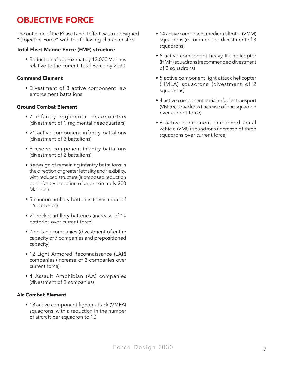# OBJECTIVE FORCE

The outcome of the Phase I and II effort was a redesigned "Objective Force" with the following characteristics:

# Total Fleet Marine Force (FMF) structure

• Reduction of approximately 12,000 Marines relative to the current Total Force by 2030

# Command Element

• Divestment of 3 active component law enforcement battalions

# Ground Combat Element

- 7 infantry regimental headquarters (divestment of 1 regimental headquarters)
- 21 active component infantry battalions (divestment of 3 battalions)
- 6 reserve component infantry battalions (divestment of 2 battalions)
- Redesign of remaining infantry battalions in the direction of greater lethality and flexibility, with reduced structure (a proposed reduction per infantry battalion of approximately 200 Marines).
- 5 cannon artillery batteries (divestment of 16 batteries)
- 21 rocket artillery batteries (increase of 14 batteries over current force)
- Zero tank companies (divestment of entire capacity of 7 companies and prepositioned capacity)
- 12 Light Armored Reconnaissance (LAR) companies (increase of 3 companies over current force)
- 4 Assault Amphibian (AA) companies (divestment of 2 companies)

### Air Combat Element

• 18 active component fighter attack (VMFA) squadrons, with a reduction in the number of aircraft per squadron to 10

- 14 active component medium tiltrotor (VMM) squadrons (recommended divestment of 3 squadrons)
- 5 active component heavy lift helicopter (HMH) squadrons (recommended divestment of 3 squadrons)
- 5 active component light attack helicopter (HMLA) squadrons (divestment of 2 squadrons)
- 4 active component aerial refueler transport (VMGR) squadrons (increase of one squadron over current force)
- 6 active component unmanned aerial vehicle (VMU) squadrons (increase of three squadrons over current force)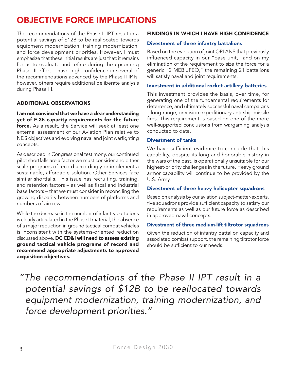# OBJECTIVE FORCE IMPLICATIONS

The recommendations of the Phase II IPT result in a potential savings of \$12B to be reallocated towards equipment modernization, training modernization, and force development priorities. However, I must emphasize that these initial results are just that: it remains for us to evaluate and refine during the upcoming Phase III effort. I have high confidence in several of the recommendations advanced by the Phase II IPTs, however, others require additional deliberate analysis during Phase III.

### ADDITIONAL OBSERVATIONS

I am not convinced that we have a clear understanding yet of F-35 capacity requirements for the future force. As a result, the Service will seek at least one external assessment of our Aviation Plan relative to NDS objectives and evolving naval and joint warfighting concepts.

As described in Congressional testimony, our continued pilot shortfalls are a factor we must consider and either scale programs of record accordingly or implement a sustainable, affordable solution. Other Services face similar shortfalls. This issue has recruiting, training, and retention factors – as well as fiscal and industrial base factors – that we must consider in reconciling the growing disparity between numbers of platforms and numbers of aircrew.

While the decrease in the number of infantry battalions is clearly articulated in the Phase II material, the absence of a major reduction in ground tactical combat vehicles is inconsistent with the systems-oriented reduction discussed above. DC CD&I will need to assess existing ground tactical vehicle programs of record and recommend appropriate adjustments to approved acquisition objectives.

#### FINDINGS IN WHICH I HAVE HIGH CONFIDENCE

#### Divestment of three infantry battalions

Based on the evolution of joint OPLANS that previously influenced capacity in our "base unit," and on my elimination of the requirement to size the force for a generic "2 MEB JFEO," the remaining 21 battalions will satisfy naval and joint requirements.

#### Investment in additional rocket artillery batteries

This investment provides the basis, over time, for generating one of the fundamental requirements for deterrence, and ultimately successful naval campaigns – long-range, precision expeditionary anti-ship missile fires. This requirement is based on one of the more well-supported conclusions from wargaming analysis conducted to date.

#### Divestment of tanks

We have sufficient evidence to conclude that this capability, despite its long and honorable history in the wars of the past, is operationally unsuitable for our highest-priority challenges in the future. Heavy ground armor capability will continue to be provided by the U.S. Army.

#### Divestment of three heavy helicopter squadrons

Based on analysis by our aviation subject-matter-experts, five squadrons provide sufficient capacity to satisfy our requirements as well as our future force as described in approved naval concepts.

#### Divestment of three medium-lift tiltrotor squadrons

Given the reduction of infantry battalion capacity and associated combat support, the remaining tiltrotor force should be sufficient to our needs.

*"The recommendations of the Phase II IPT result in a potential savings of \$12B to be reallocated towards equipment modernization, training modernization, and force development priorities."*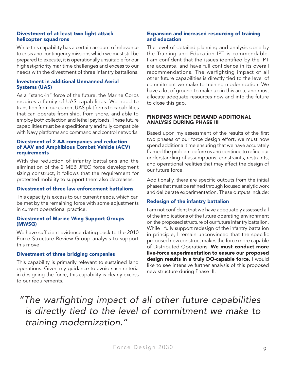#### Divestment of at least two light attack helicopter squadrons

While this capability has a certain amount of relevance to crisis and contingency missions which we must still be prepared to execute, it is operationally unsuitable for our highest-priority maritime challenges and excess to our needs with the divestment of three infantry battalions.

#### Investment in additional Unmanned Aerial Systems (UAS)

As a "stand-in" force of the future, the Marine Corps requires a family of UAS capabilities. We need to transition from our current UAS platforms to capabilities that can operate from ship, from shore, and able to employ both collection and lethal payloads. These future capabilities must be expeditionary and fully compatible with Navy platforms and command and control networks.

#### Divestment of 2 AA companies and reduction of AAV and Amphibious Combat Vehicle (ACV) requirements

With the reduction of infantry battalions and the elimination of the 2 MEB JFEO force development sizing construct, it follows that the requirement for protected mobility to support them also decreases.

#### Divestment of three law enforcement battalions

This capacity is excess to our current needs, which can be met by the remaining force with some adjustments in current operational practice.

#### Divestment of Marine Wing Support Groups (MWSG)

We have sufficient evidence dating back to the 2010 Force Structure Review Group analysis to support this move.

#### Divestment of three bridging companies

This capability is primarily relevant to sustained land operations. Given my guidance to avoid such criteria in designing the force, this capability is clearly excess to our requirements.

#### Expansion and increased resourcing of training and education

The level of detailed planning and analysis done by the Training and Education IPT is commendable. I am confident that the issues identified by the IPT are accurate, and have full confidence in its overall recommendations. The warfighting impact of all other future capabilities is directly tied to the level of commitment we make to training modernization. We have a lot of ground to make up in this area, and must allocate adequate resources now and into the future to close this gap.

#### FINDINGS WHICH DEMAND ADDITIONAL ANALYSIS DURING PHASE III

Based upon my assessment of the results of the first two phases of our force design effort, we must now spend additional time ensuring that we have accurately framed the problem before us and continue to refine our understanding of assumptions, constraints, restraints, and operational realities that may affect the design of our future force.

Additionally, there are specific outputs from the initial phases that must be refined through focused analytic work and deliberate experimentation. These outputs include:

#### Redesign of the infantry battalion

I am not confident that we have adequately assessed all of the implications of the future operating environment on the proposed structure of our future infantry battalion. While I fully support redesign of the infantry battalion in principle, I remain unconvinced that the specific proposed new construct makes the force more capable of Distributed Operations. We must conduct more live-force experimentation to ensure our proposed design results in a truly DO-capable force. I would like to see intensive further analysis of this proposed new structure during Phase III.

*"The warfighting impact of all other future capabilities is directly tied to the level of commitment we make to training modernization."*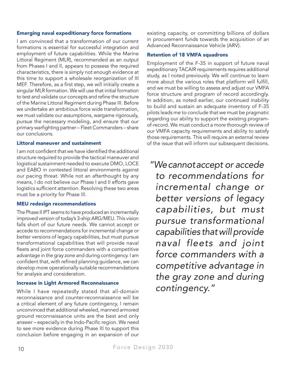#### Emerging naval expeditionary force formations

I am convinced that a transformation of our current formations is essential for successful integration and employment of future capabilities. While the Marine Littoral Regiment (MLR), recommended as an output from Phases I and II, appears to possess the required characteristics, there is simply not enough evidence at this time to support a wholesale reorganization of III MEF. Therefore, as a first step, we will initially create a singular MLR formation. We will use that initial formation to test and validate our concepts and refine the structure of the Marine Littoral Regiment during Phase III. Before we undertake an ambitious force wide transformation, we must validate our assumptions, wargame rigorously, pursue the necessary modeling, and ensure that our primary warfighting partner – Fleet Commanders – share our conclusions.

#### Littoral maneuver and sustainment

I am not confident that we have identified the additional structure required to provide the tactical maneuver and logistical sustainment needed to execute DMO, LOCE and EABO in contested littoral environments against our pacing threat. While not an afterthought by any means, I do not believe our Phase I and II efforts gave logistics sufficient attention. Resolving these two areas must be a priority for Phase III.

#### MEU redesign recommendations

The Phase II IPT seems to have produced an incrementally improved version of today's 3-ship ARG/MEU. This vision falls short of our future needs. We cannot accept or accede to recommendations for incremental change or better versions of legacy capabilities, but must pursue transformational capabilities that will provide naval fleets and joint force commanders with a competitive advantage in the gray zone and during contingency. I am confident that, with refined planning guidance, we can develop more operationally suitable recommendations for analysis and consideration.

#### Increase in Light Armored Reconnaissance

While I have repeatedly stated that all-domain reconnaissance and counter-reconnaissance will be a critical element of any future contingency, I remain unconvinced that additional wheeled, manned armored ground reconnaissance units are the best and only answer – especially in the Indo-Pacific region. We need to see more evidence during Phase III to support this conclusion before engaging in an expansion of our

existing capacity, or committing billions of dollars in procurement funds towards the acquisition of an Advanced Reconnaissance Vehicle (ARV).

#### Retention of 18 VMFA squadrons

Employment of the F-35 in support of future naval expeditionary TACAIR requirements requires additional study, as I noted previously. We will continue to learn more about the various roles that platform will fulfill, and we must be willing to assess and adjust our VMFA force structure and program of record accordingly. In addition, as noted earlier, our continued inability to build and sustain an adequate inventory of F-35 pilots leads me to conclude that we must be pragmatic regarding our ability to support the existing programof-record. We must conduct a more thorough review of our VMFA capacity requirements and ability to satisfy those requirements. This will require an external review of the issue that will inform our subsequent decisions.

*"We cannot accept or accede to recommendations for incremental change or better versions of legacy capabilities, but must pursue transformational capabilities that will provide naval fleets and joint force commanders with a competitive advantage in the gray zone and during contingency."*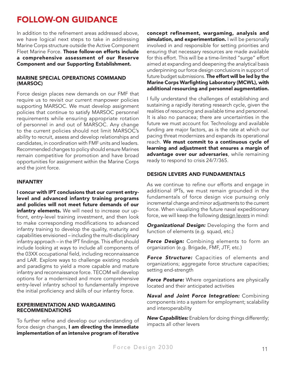# FOLLOW-ON GUIDANCE

In addition to the refinement areas addressed above, we have logical next steps to take in addressing Marine Corps structure outside the Active Component Fleet Marine Force. Those follow-on efforts include a comprehensive assessment of our Reserve Component and our Supporting Establishment.

#### MARINE SPECIAL OPERATIONS COMMAND (MARSOC)

Force design places new demands on our FMF that require us to revisit our current manpower policies supporting MARSOC. We must develop assignment policies that continue to satisfy MARSOC personnel requirements while ensuring appropriate rotation of personnel in and out of MARSOC. Any change to the current policies should not limit MARSOC's ability to recruit, assess and develop relationships and candidates, in coordination with FMF units and leaders. Recommended changes to policy should ensure Marines remain competitive for promotion and have broad opportunities for assignment within the Marine Corps and the joint force.

#### INFANTRY

I concur with IPT conclusions that our current entrylevel and advanced infantry training programs and policies will not meet future demands of our infantry elements. We will need to increase our upfront, entry-level training investment, and then look to make corresponding modifications to advanced infantry training to develop the quality, maturity and capabilities envisioned – including the multi-disciplinary infantry approach – in the IPT findings. This effort should include looking at ways to include all components of the 03XX occupational field, including reconnaissance and LAR. Explore ways to challenge existing models and paradigms to yield a more capable and mature infantry and reconnaissance force. TECOM will develop options for a modernized and more comprehensive entry-level infantry school to fundamentally improve the initial proficiency and skills of our infantry force.

#### EXPERIMENTATION AND WARGAMING RECOMMENDATIONS

To further refine and develop our understanding of force design changes, I am directing the immediate implementation of an intensive program of iterative

concept refinement, wargaming, analysis and simulation, and experimentation. I will be personally involved in and responsible for setting priorities and ensuring that necessary resources are made available for this effort. This will be a time-limited "surge" effort aimed at expanding and deepening the analytical basis underpinning our force design conclusions in support of future budget submissions. The effort will be led by the Marine Corps Warfighting Laboratory (MCWL), with additional resourcing and personnel augmentation.

I fully understand the challenges of establishing and sustaining a rapidly iterating research cycle, given the realities of resourcing and available time and personnel. It is also no panacea; there are uncertainties in the future we must account for. Technology and available funding are major factors, as is the rate at which our pacing threat modernizes and expands its operational reach. We must commit to a continuous cycle of learning and adjustment that ensures a margin of advantage over our adversaries, while remaining ready to respond to crisis 24/7/365.

#### DESIGN LEVERS AND FUNDAMENTALS

As we continue to refine our efforts and engage in additional IPTs, we must remain grounded in the fundamentals of force design vice pursuing only incremental change and minor adjustments to the current force. When visualizing the future naval expeditionary force, we will keep the following design levers in mind:

*Organizational Design:* Developing the form and function of elements (e.g. squad, etc.)

**Force Design:** Combining elements to form an organization (e.g. Brigade, FMF, JTF, etc.)

*Force Structure:* Capacities of elements and organizations; aggregate force structure capacities; setting end-strength

**Force Posture:** Where organizations are physically located and their anticipated activities

*Naval and Joint Force Integration:* Combining components into a system for employment; scalability and interoperability

*New Capabilities:* Enablers for doing things differently; impacts all other levers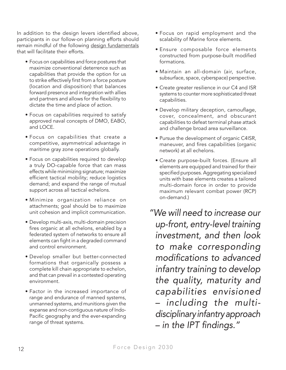In addition to the design levers identified above, participants in our follow-on planning efforts should remain mindful of the following design fundamentals that will facilitate their efforts.

- Focus on capabilities and force postures that maximize conventional deterrence such as capabilities that provide the option for us to strike effectively first from a force posture (location and disposition) that balances forward presence and integration with allies and partners and allows for the flexibility to dictate the time and place of action.
- Focus on capabilities required to satisfy approved naval concepts of DMO, EABO, and LOCE.
- Focus on capabilities that create a competitive, asymmetrical advantage in maritime gray zone operations globally.
- Focus on capabilities required to develop a truly DO-capable force that can mass effects while minimizing signature; maximize efficient tactical mobility; reduce logistics demand; and expand the range of mutual support across all tactical echelons.
- Minimize organization reliance on attachments; goal should be to maximize unit cohesion and implicit communication.
- Develop multi-axis, multi-domain precision fires organic at all echelons, enabled by a federated system of networks to ensure all elements can fight in a degraded command and control environment.
- Develop smaller but better-connected formations that organically possess a complete kill chain appropriate to echelon, and that can prevail in a contested operating environment.
- Factor in the increased importance of range and endurance of manned systems, unmanned systems, and munitions given the expanse and non-contiguous nature of Indo-Pacific geography and the ever-expanding range of threat systems.
- Focus on rapid employment and the scalability of Marine force elements.
- Ensure composable force elements constructed from purpose-built modified formations.
- Maintain an all-domain (air, surface, subsurface, space, cyberspace) perspective.
- Create greater resilience in our C4 and ISR systems to counter more sophisticated threat capabilities.
- Develop military deception, camouflage, cover, concealment, and obscurant capabilities to defeat terminal phase attack and challenge broad area surveillance.
- Pursue the development of organic C4ISR, maneuver, and fires capabilities (organic network) at all echelons.
- Create purpose-built forces. (Ensure all elements are equipped and trained for their specified purposes. Aggregating specialized units with base elements creates a tailored multi-domain force in order to provide maximum relevant combat power (RCP) on-demand.)
- *"We will need to increase our up-front, entry-level training investment, and then look to make corresponding modifications to advanced infantry training to develop the quality, maturity and capabilities envisioned – including the multidisciplinary infantry approach – in the IPT findings."*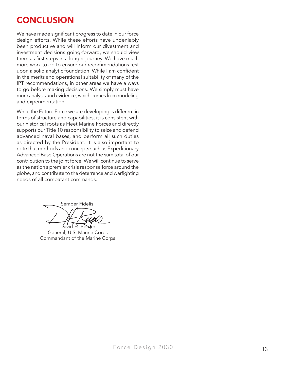# **CONCLUSION**

We have made significant progress to date in our force design efforts. While these efforts have undeniably been productive and will inform our divestment and investment decisions going-forward, we should view them as first steps in a longer journey. We have much more work to do to ensure our recommendations rest upon a solid analytic foundation. While I am confident in the merits and operational suitability of many of the IPT recommendations, in other areas we have a ways to go before making decisions. We simply must have more analysis and evidence, which comes from modeling and experimentation.

While the Future Force we are developing is different in terms of structure and capabilities, it is consistent with our historical roots as Fleet Marine Forces and directly supports our Title 10 responsibility to seize and defend advanced naval bases, and perform all such duties as directed by the President. It is also important to note that methods and concepts such as Expeditionary Advanced Base Operations are not the sum total of our contribution to the joint force. We will continue to serve as the nation's premier crisis response force around the globe, and contribute to the deterrence and warfighting needs of all combatant commands.

Semper Fidelis, **Berger** 

General, U.S. Marine Corps Commandant of the Marine Corps